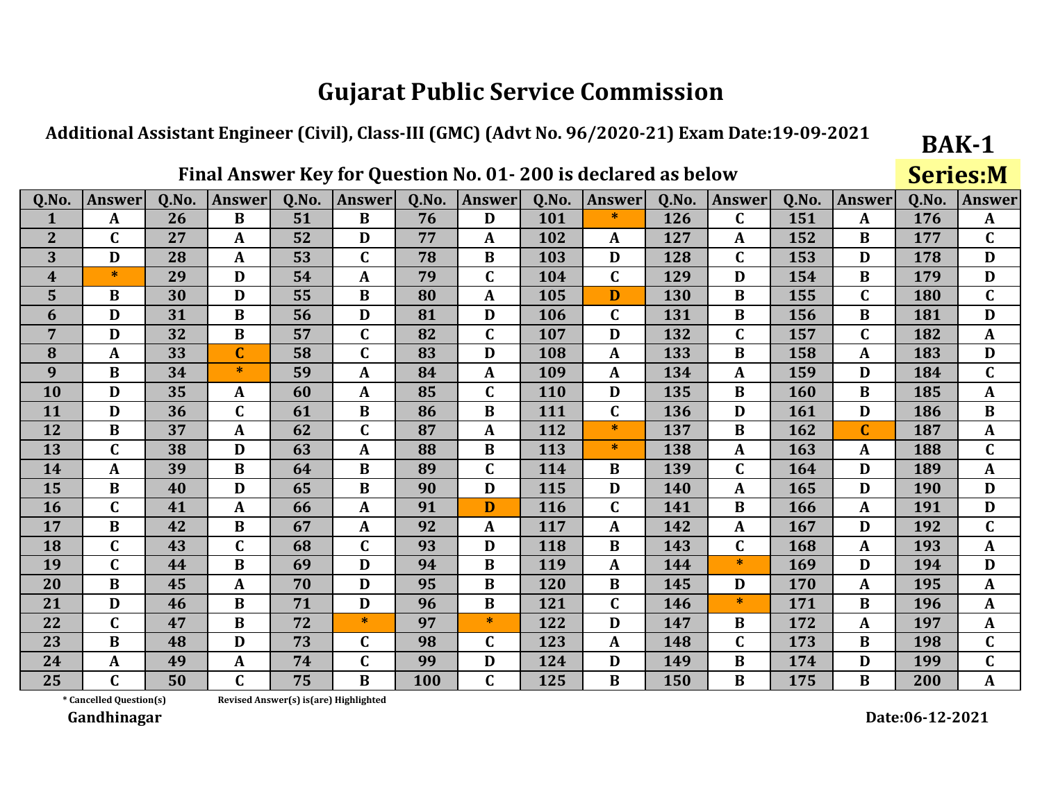#### Additional Assistant Engineer (Civil), Class-III (GMC) (Advt No. 96/2020-21) Exam Date:19-09-2021

### Final Answer Key for Question No. 01-200 is declared as below

**Series:M** 

**BAK-1** 

| Q.No.          | <b>Answer</b> | <b>O.No.</b> | <b>Answer</b> | 0.No. | <b>Answer</b> | 0.No. | <b>Answer</b> | Q.No. | <b>Answer</b> | 0.No. | <b>Answer</b> | 0.No. | <b>Answer</b>  | 0.No.      | <b>Answer</b> |
|----------------|---------------|--------------|---------------|-------|---------------|-------|---------------|-------|---------------|-------|---------------|-------|----------------|------------|---------------|
| 1              | $\mathbf{A}$  | 26           | B             | 51    | B             | 76    | D             | 101   | $\ast$        | 126   | $\mathbf C$   | 151   | A              | 176        | $\mathbf{A}$  |
| $\overline{2}$ | $\mathbf C$   | 27           | A             | 52    | D             | 77    | A             | 102   | A             | 127   | A             | 152   | B              | 177        | $\mathbf C$   |
| 3              | D             | 28           | A             | 53    | $\mathbf C$   | 78    | $\bf{B}$      | 103   | D             | 128   | $\mathbf C$   | 153   | D              | 178        | D             |
| 4              | $\ast$        | 29           | D             | 54    | A             | 79    | $\mathbf C$   | 104   | $\mathbf C$   | 129   | D             | 154   | B              | 179        | D             |
| 5              | $\bf{B}$      | 30           | D             | 55    | $\bf{B}$      | 80    | A             | 105   | D             | 130   | $\bf{B}$      | 155   | $\mathbf C$    | 180        | $\mathbf C$   |
| 6              | D             | 31           | $\bf{B}$      | 56    | D             | 81    | D             | 106   | $\mathbf C$   | 131   | $\bf{B}$      | 156   | $\bf{B}$       | 181        | D             |
| $\overline{7}$ | D             | 32           | $\bf{B}$      | 57    | $\mathbf C$   | 82    | $\mathbf{C}$  | 107   | D             | 132   | $\mathbf C$   | 157   | $\mathbf C$    | 182        | $\mathbf{A}$  |
| 8              | A             | 33           | C             | 58    | $\mathbf C$   | 83    | D             | 108   | $\mathbf{A}$  | 133   | B             | 158   | A              | 183        | D             |
| 9              | $\bf{B}$      | 34           | $\ast$        | 59    | $\mathbf{A}$  | 84    | A             | 109   | A             | 134   | A             | 159   | D              | 184        | $\mathbf C$   |
| 10             | D             | 35           | A             | 60    | A             | 85    | $\mathbf C$   | 110   | D             | 135   | B             | 160   | B              | 185        | $\mathbf{A}$  |
| 11             | D             | 36           | $\mathbf C$   | 61    | $\bf{B}$      | 86    | $\bf{B}$      | 111   | $\mathbf C$   | 136   | D             | 161   | D              | 186        | $\bf{B}$      |
| 12             | $\bf{B}$      | 37           | A             | 62    | $\mathbf C$   | 87    | $\mathbf{A}$  | 112   | $\ast$        | 137   | $\bf{B}$      | 162   | $\overline{C}$ | 187        | $\mathbf{A}$  |
| 13             | $\mathbf C$   | 38           | D             | 63    | A             | 88    | $\bf{B}$      | 113   | $\ast$        | 138   | A             | 163   | A              | 188        | $\mathbf C$   |
| 14             | $\mathbf{A}$  | 39           | $\bf{B}$      | 64    | $\bf{B}$      | 89    | $\mathbf C$   | 114   | B             | 139   | $\mathbf C$   | 164   | D              | 189        | A             |
| 15             | $\bf{B}$      | 40           | D             | 65    | B             | 90    | D             | 115   | D             | 140   | $\mathbf{A}$  | 165   | D              | <b>190</b> | D             |
| <b>16</b>      | $\mathbf C$   | 41           | A             | 66    | $\mathbf{A}$  | 91    | D             | 116   | $\mathbf C$   | 141   | $\bf{B}$      | 166   | A              | 191        | D             |
| 17             | $\bf{B}$      | 42           | $\bf{B}$      | 67    | $\mathbf{A}$  | 92    | A             | 117   | $\mathbf{A}$  | 142   | A             | 167   | D              | 192        | $\mathbf C$   |
| 18             | $\mathbf C$   | 43           | $\mathbf C$   | 68    | $\mathbf C$   | 93    | D             | 118   | B             | 143   | $\mathbf C$   | 168   | A              | 193        | $\mathbf{A}$  |
| 19             | $\mathbf C$   | 44           | $\bf{B}$      | 69    | D             | 94    | $\bf{B}$      | 119   | $\mathbf{A}$  | 144   | $\ast$        | 169   | D              | 194        | D             |
| 20             | $\bf{B}$      | 45           | A             | 70    | D             | 95    | B             | 120   | $\bf{B}$      | 145   | D             | 170   | A              | 195        | $\mathbf{A}$  |
| 21             | D             | 46           | B             | 71    | D             | 96    | $\bf{B}$      | 121   | $\mathbf C$   | 146   | $\ast$        | 171   | B              | 196        | $\mathbf{A}$  |
| 22             | $\mathbf C$   | 47           | B             | 72    | $*$           | 97    | $*$           | 122   | D             | 147   | $\bf{B}$      | 172   | A              | 197        | $\mathbf{A}$  |
| 23             | $\bf{B}$      | 48           | D             | 73    | $\mathbf C$   | 98    | $\mathbf C$   | 123   | $\mathbf{A}$  | 148   | C             | 173   | B              | 198        | $\mathbf C$   |
| 24             | $\mathbf{A}$  | 49           | $\mathbf{A}$  | 74    | $\mathbf C$   | 99    | D             | 124   | D             | 149   | $\bf{B}$      | 174   | D              | 199        | $\mathbf C$   |
| 25             | $\mathbf C$   | 50           | $\mathbf C$   | 75    | $\bf{B}$      | 100   | $\mathbf C$   | 125   | $\bf{B}$      | 150   | B             | 175   | B              | 200        | $\mathbf{A}$  |

\* Cancelled Question(s)

Revised Answer(s) is(are) Highlighted

Gandhinagar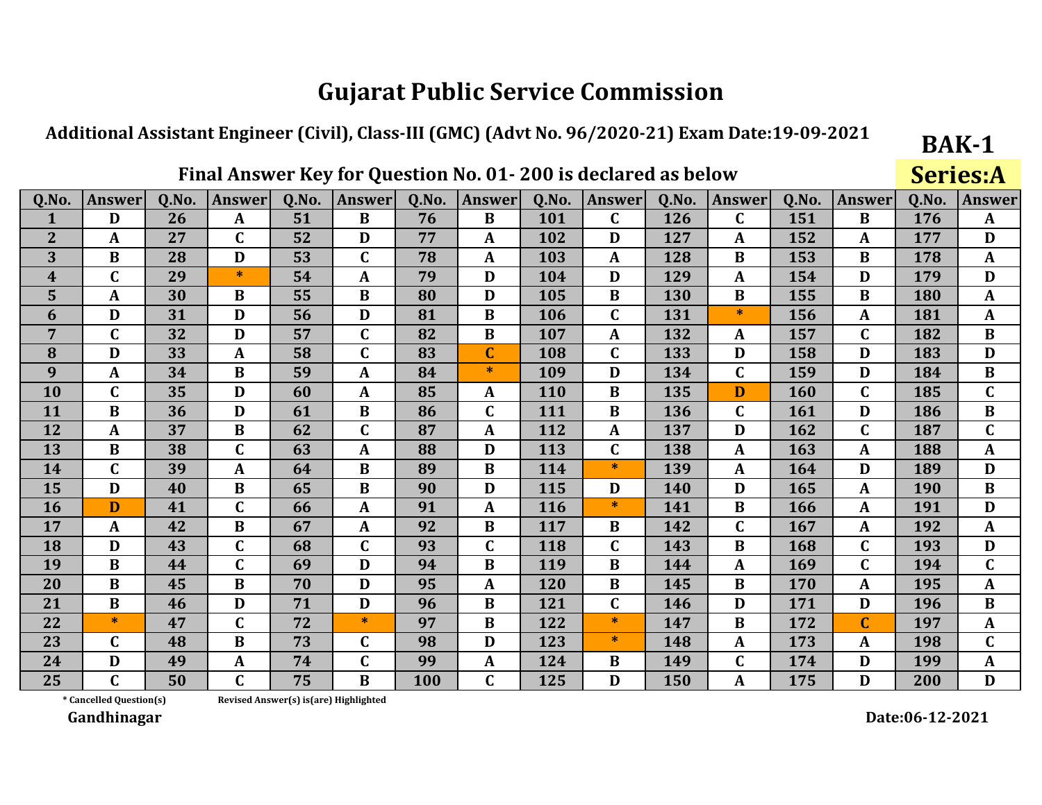#### Additional Assistant Engineer (Civil), Class-III (GMC) (Advt No. 96/2020-21) Exam Date:19-09-2021

### Final Answer Key for Question No. 01-200 is declared as below

**Series:A** 

**BAK-1** 

| Q.No.          | <b>Answer</b>    | 0.No. | <b>Answer</b> | 0.No. | <b>Answer</b> | Q.No.      | <b>Answer</b> | 0.No.      | <b>Answer</b> | 0.No. | <b>Answer</b> | Q.No. | <b>Answer</b> | 0.No. | <b>Answer</b> |
|----------------|------------------|-------|---------------|-------|---------------|------------|---------------|------------|---------------|-------|---------------|-------|---------------|-------|---------------|
| 1              | D                | 26    | $\mathbf{A}$  | 51    | $\bf{B}$      | 76         | B             | 101        | $\mathbf C$   | 126   | $\mathbf C$   | 151   | B             | 176   | $\mathbf{A}$  |
| $\overline{2}$ | $\mathbf{A}$     | 27    | $\mathbf C$   | 52    | D             | 77         | $\mathbf{A}$  | 102        | D             | 127   | A             | 152   | A             | 177   | D             |
| 3              | B                | 28    | D             | 53    | $\mathbf C$   | 78         | $\mathbf{A}$  | 103        | A             | 128   | $\bf{B}$      | 153   | B             | 178   | $\mathbf{A}$  |
| 4              | $\mathbf C$      | 29    | $\ast$        | 54    | A             | 79         | D             | 104        | D             | 129   | A             | 154   | D             | 179   | D             |
| 5              | $\boldsymbol{A}$ | 30    | $\bf{B}$      | 55    | $\bf{B}$      | 80         | D             | 105        | $\bf{B}$      | 130   | $\bf{B}$      | 155   | B             | 180   | $\mathbf{A}$  |
| 6              | D                | 31    | D             | 56    | D             | 81         | $\bf{B}$      | 106        | $\mathbf C$   | 131   | $\ast$        | 156   | $\mathbf{A}$  | 181   | $\mathbf{A}$  |
| 7              | $\mathbf C$      | 32    | D             | 57    | $\mathbf C$   | 82         | $\bf{B}$      | 107        | A             | 132   | A             | 157   | $\mathbf C$   | 182   | B             |
| 8              | D                | 33    | A             | 58    | C             | 83         | $\mathbf C$   | 108        | $\mathbf C$   | 133   | D             | 158   | D             | 183   | D             |
| 9              | $\mathbf{A}$     | 34    | $\bf{B}$      | 59    | $\mathbf{A}$  | 84         | $\ast$        | 109        | D             | 134   | C             | 159   | D             | 184   | $\bf{B}$      |
| 10             | $\mathbf C$      | 35    | D             | 60    | $\mathbf{A}$  | 85         | A             | <b>110</b> | B             | 135   | D             | 160   | $\mathbf C$   | 185   | $\mathbf C$   |
| 11             | B                | 36    | D             | 61    | $\bf{B}$      | 86         | $\mathbf C$   | 111        | B             | 136   | $\mathbf C$   | 161   | D             | 186   | $\bf{B}$      |
| 12             | $\mathbf{A}$     | 37    | $\bf{B}$      | 62    | $\mathbf C$   | 87         | $\mathbf A$   | 112        | $\mathbf{A}$  | 137   | D             | 162   | $\mathbf C$   | 187   | $\mathbf{C}$  |
| 13             | $\bf{B}$         | 38    | $\mathbf C$   | 63    | $\mathbf{A}$  | 88         | D             | 113        | $\mathbf C$   | 138   | $\mathbf{A}$  | 163   | $\mathbf{A}$  | 188   | $\mathbf{A}$  |
| 14             | $\mathbf C$      | 39    | A             | 64    | B             | 89         | B             | 114        | $\ast$        | 139   | A             | 164   | D             | 189   | D             |
| 15             | D                | 40    | B             | 65    | $\bf{B}$      | 90         | D             | 115        | D             | 140   | D             | 165   | A             | 190   | B             |
| <b>16</b>      | D                | 41    | $\mathbf C$   | 66    | $\mathbf{A}$  | 91         | $\mathbf A$   | 116        | $\ast$        | 141   | $\bf{B}$      | 166   | A             | 191   | D             |
| 17             | $\mathbf{A}$     | 42    | $\bf{B}$      | 67    | $\mathbf{A}$  | 92         | B             | 117        | B             | 142   | C             | 167   | $\mathbf{A}$  | 192   | $\mathbf{A}$  |
| 18             | D                | 43    | $\mathbf C$   | 68    | C             | 93         | $\mathbf C$   | 118        | $\mathbf C$   | 143   | B             | 168   | $\mathbf C$   | 193   | D             |
| 19             | $\bf{B}$         | 44    | $\mathbf C$   | 69    | D             | 94         | $\bf{B}$      | 119        | $\bf{B}$      | 144   | A             | 169   | $\mathbf C$   | 194   | $\mathbf C$   |
| 20             | $\bf{B}$         | 45    | B             | 70    | D             | 95         | $\mathbf{A}$  | 120        | B             | 145   | $\bf{B}$      | 170   | $\mathbf{A}$  | 195   | $\mathbf{A}$  |
| 21             | $\bf{B}$         | 46    | D             | 71    | D             | 96         | $\bf{B}$      | 121        | $\mathbf C$   | 146   | D             | 171   | D             | 196   | B             |
| 22             | $\ast$           | 47    | $\mathbf C$   | 72    | $*$           | 97         | B             | 122        | $\ast$        | 147   | $\bf{B}$      | 172   | $\mathbf{C}$  | 197   | A             |
| 23             | $\mathbf{C}$     | 48    | $\bf{B}$      | 73    | $\mathbf{C}$  | 98         | D             | 123        | $\ast$        | 148   | $\mathbf{A}$  | 173   | A             | 198   | $\mathbf C$   |
| 24             | D                | 49    | A             | 74    | C             | 99         | $\mathbf A$   | 124        | B             | 149   | C             | 174   | D             | 199   | $\mathbf{A}$  |
| 25             | $\mathbf C$      | 50    | $\mathbf C$   | 75    | B             | <b>100</b> | $\mathbf C$   | 125        | D             | 150   | A             | 175   | D             | 200   | D             |

\* Cancelled Question(s) Revised Answer(s) is(are) Highlighted

Gandhinagar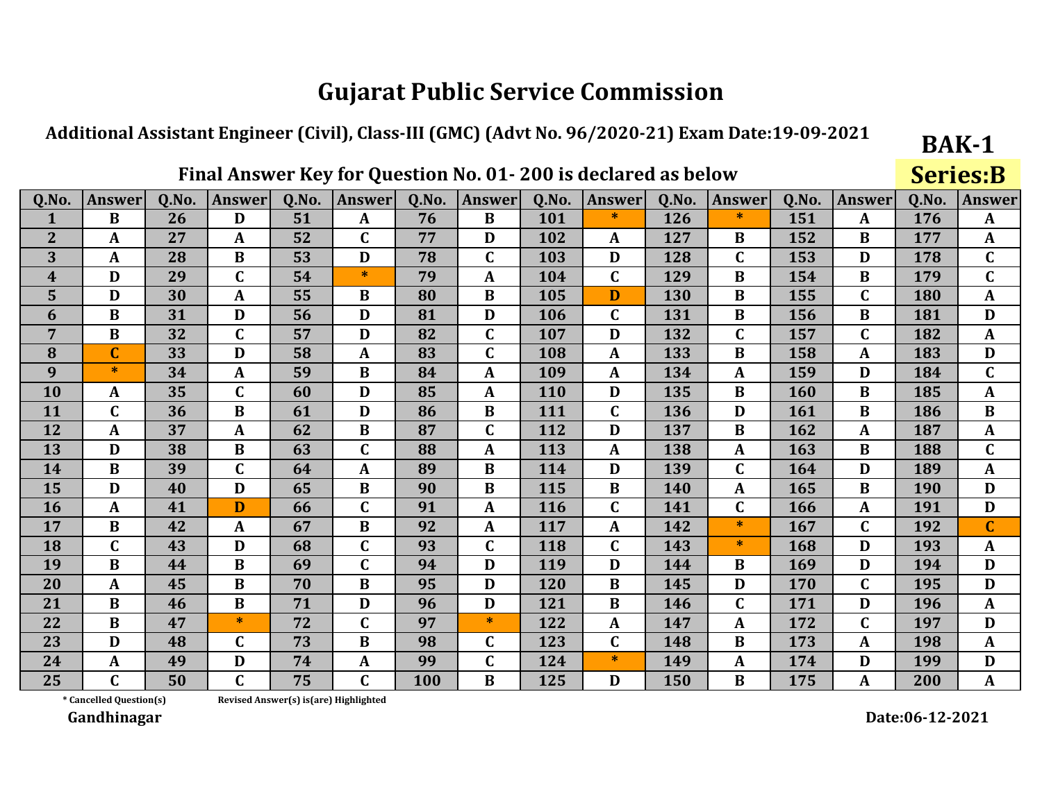## Additional Assistant Engineer (Civil), Class-III (GMC) (Advt No. 96/2020-21) Exam Date:19-09-2021

### Final Answer Key for Question No. 01-200 is declared as below

**Series:B** 

**BAK-1** 

| Q.No.          | <b>Answer</b>           | Q.No. | <b>Answer</b> | Q.No. | <b>Answer</b> | Q.No. | <b>Answer</b> | Q.No.      | <b>Answer</b> | Q.No. | <b>Answer</b> | Q.No. | <b>Answer</b> | Q.No. | <b>Answer</b> |
|----------------|-------------------------|-------|---------------|-------|---------------|-------|---------------|------------|---------------|-------|---------------|-------|---------------|-------|---------------|
| 1              | B                       | 26    | D             | 51    | $\mathbf{A}$  | 76    | B             | 101        | $\ast$        | 126   | *.            | 151   | A             | 176   | A             |
| $\overline{2}$ | $\mathbf{A}$            | 27    | A             | 52    | $\mathbf C$   | 77    | D             | 102        | A             | 127   | B             | 152   | $\bf{B}$      | 177   | A             |
| 3              | $\mathbf{A}$            | 28    | $\bf{B}$      | 53    | D             | 78    | $\mathbf C$   | 103        | D             | 128   | C             | 153   | D             | 178   | $\mathbf C$   |
| 4              | D                       | 29    | $\mathbf C$   | 54    | $\ast$        | 79    | $\mathbf{A}$  | 104        | $\mathbf C$   | 129   | $\bf{B}$      | 154   | $\bf{B}$      | 179   | $\mathbf C$   |
| 5              | D                       | 30    | A             | 55    | $\bf{B}$      | 80    | $\bf{B}$      | 105        | D             | 130   | $\bf{B}$      | 155   | $\mathbf{C}$  | 180   | $\mathbf{A}$  |
| 6              | $\bf{B}$                | 31    | D             | 56    | D             | 81    | D             | 106        | $\mathbf C$   | 131   | $\bf{B}$      | 156   | B             | 181   | D             |
| 7              | $\bf{B}$                | 32    | $\mathbf C$   | 57    | D             | 82    | $\mathbf C$   | 107        | D             | 132   | C             | 157   | $\mathbf{C}$  | 182   | A             |
| 8              | $\overline{C}$          | 33    | D             | 58    | $\mathbf{A}$  | 83    | $\mathbf C$   | 108        | $\mathbf{A}$  | 133   | $\bf{B}$      | 158   | $\mathbf{A}$  | 183   | D             |
| 9              | $\ast$                  | 34    | A             | 59    | $\bf{B}$      | 84    | $\mathbf A$   | 109        | $\mathbf{A}$  | 134   | A             | 159   | D             | 184   | $\mathbf C$   |
| 10             | A                       | 35    | $\mathbf C$   | 60    | D             | 85    | A             | 110        | D             | 135   | $\bf{B}$      | 160   | $\bf{B}$      | 185   | $\mathbf{A}$  |
| 11             | $\mathbf C$             | 36    | $\bf{B}$      | 61    | D             | 86    | $\bf{B}$      | 111        | $\mathbf C$   | 136   | D             | 161   | B             | 186   | $\bf{B}$      |
| 12             | $\mathbf{A}$            | 37    | A             | 62    | $\bf{B}$      | 87    | $\mathbf C$   | 112        | D             | 137   | $\bf{B}$      | 162   | $\mathbf{A}$  | 187   | $\mathbf{A}$  |
| 13             | D                       | 38    | $\bf{B}$      | 63    | $\mathbf C$   | 88    | A             | 113        | A             | 138   | A             | 163   | $\bf{B}$      | 188   | $\mathbf C$   |
| 14             | $\bf{B}$                | 39    | $\mathbf C$   | 64    | A             | 89    | $\bf{B}$      | 114        | D             | 139   | C             | 164   | D             | 189   | $\mathbf{A}$  |
| 15             | D                       | 40    | D             | 65    | $\bf{B}$      | 90    | $\bf{B}$      | 115        | B             | 140   | $\mathbf{A}$  | 165   | $\bf{B}$      | 190   | D             |
| <b>16</b>      | $\mathbf{A}$            | 41    | D             | 66    | $\mathbf C$   | 91    | $\mathbf A$   | <b>116</b> | $\mathbf C$   | 141   | C             | 166   | $\mathbf{A}$  | 191   | D             |
| 17             | $\bf{B}$                | 42    | A             | 67    | $\bf{B}$      | 92    | $\mathbf{A}$  | 117        | $\mathbf{A}$  | 142   | $\ast$        | 167   | $\mathbf C$   | 192   | $\mathbf C$   |
| 18             | $\overline{\mathsf{C}}$ | 43    | D             | 68    | $\mathbf C$   | 93    | $\mathbf C$   | 118        | $\mathbf C$   | 143   | $*$           | 168   | D             | 193   | $\mathbf{A}$  |
| 19             | $\overline{B}$          | 44    | $\bf{B}$      | 69    | $\mathbf C$   | 94    | D             | 119        | D             | 144   | $\bf{B}$      | 169   | D             | 194   | D             |
| 20             | $\mathbf{A}$            | 45    | $\bf{B}$      | 70    | $\bf{B}$      | 95    | D             | 120        | $\bf{B}$      | 145   | D             | 170   | $\mathbf C$   | 195   | D             |
| 21             | B                       | 46    | B             | 71    | D             | 96    | D             | 121        | B             | 146   | C             | 171   | D             | 196   | A             |
| 22             | $\bf{B}$                | 47    | $\ast$        | 72    | $\mathbf C$   | 97    | $\ast$        | 122        | A             | 147   | $\mathbf{A}$  | 172   | $\mathbf C$   | 197   | D             |
| 23             | D                       | 48    | $\mathbf C$   | 73    | $\bf{B}$      | 98    | $\mathbf C$   | 123        | $\mathbf C$   | 148   | $\bf{B}$      | 173   | A             | 198   | $\mathbf{A}$  |
| 24             | $\mathbf{A}$            | 49    | D             | 74    | $\mathbf{A}$  | 99    | $\mathbf C$   | 124        | $\ast$        | 149   | A             | 174   | D             | 199   | D             |
| 25             | $\mathbf C$             | 50    | $\mathbf C$   | 75    | $\mathbf C$   | 100   | B             | 125        | D             | 150   | $\bf{B}$      | 175   | A             | 200   | $\mathbf{A}$  |

\* Cancelled Question(s)

Revised Answer(s) is(are) Highlighted

Gandhinagar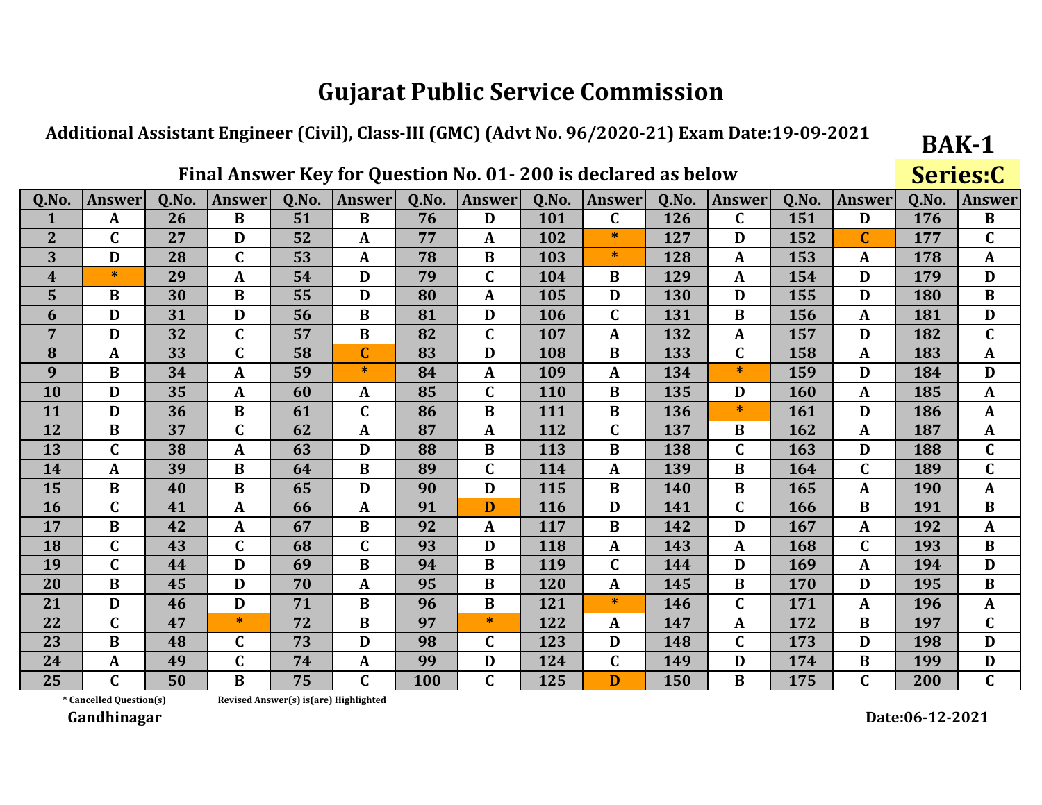#### Additional Assistant Engineer (Civil), Class-III (GMC) (Advt No. 96/2020-21) Exam Date:19-09-2021

### Final Answer Key for Question No. 01-200 is declared as below

**Series:C** 

**BAK-1** 

| Q.No.          | <b>Answer</b>           | Q.No. | <b>Answer</b> | Q.No. | <b>Answer</b> | Q.No. | <b>Answer</b> | Q.No.      | <b>Answer</b> | Q.No. | Answer       | Q.No. | <b>Answer</b> | Q.No. | <b>Answer</b> |
|----------------|-------------------------|-------|---------------|-------|---------------|-------|---------------|------------|---------------|-------|--------------|-------|---------------|-------|---------------|
| $\mathbf{1}$   | $\mathbf{A}$            | 26    | $\bf{B}$      | 51    | $\bf{B}$      | 76    | D             | 101        | $\mathbf C$   | 126   | C            | 151   | D             | 176   | $\bf{B}$      |
| $\overline{2}$ | $\mathsf{C}$            | 27    | D             | 52    | A             | 77    | A             | 102        | ∗             | 127   | D            | 152   | $\mathbf C$   | 177   | $\mathbf C$   |
| 3              | D                       | 28    | $\mathbf C$   | 53    | $\mathbf{A}$  | 78    | B             | 103        | $\ast$        | 128   | $\mathbf{A}$ | 153   | A             | 178   | $\mathbf{A}$  |
| 4              | $\ast$                  | 29    | A             | 54    | D             | 79    | $\mathbf C$   | 104        | B             | 129   | A            | 154   | D             | 179   | D             |
| 5              | $\bf{B}$                | 30    | $\bf{B}$      | 55    | D             | 80    | $\mathbf{A}$  | 105        | D             | 130   | D            | 155   | D             | 180   | $\bf{B}$      |
| 6              | D                       | 31    | D             | 56    | $\bf{B}$      | 81    | D             | 106        | $\mathbf C$   | 131   | $\bf{B}$     | 156   | $\mathbf{A}$  | 181   | D             |
| $\overline{7}$ | D                       | 32    | $\mathbf C$   | 57    | $\bf{B}$      | 82    | $\mathbf C$   | 107        | $\mathbf{A}$  | 132   | A            | 157   | D             | 182   | $\mathbf C$   |
| 8              | A                       | 33    | $\mathbf C$   | 58    | $\mathbf C$   | 83    | D             | 108        | B             | 133   | C            | 158   | A             | 183   | $\mathbf{A}$  |
| 9              | $\bf{B}$                | 34    | A             | 59    | $\ast$        | 84    | A             | 109        | A             | 134   | $\ast$       | 159   | D             | 184   | D             |
| 10             | D                       | 35    | A             | 60    | $\mathbf{A}$  | 85    | $\mathbf C$   | 110        | $\bf{B}$      | 135   | D            | 160   | A             | 185   | $\mathbf{A}$  |
| 11             | D                       | 36    | $\bf{B}$      | 61    | $\mathbf C$   | 86    | B             | 111        | $\bf{B}$      | 136   | $\ast$       | 161   | D             | 186   | $\mathbf{A}$  |
| 12             | $\bf{B}$                | 37    | $\mathbf C$   | 62    | $\mathbf{A}$  | 87    | $\mathbf{A}$  | 112        | $\mathbf C$   | 137   | B            | 162   | A             | 187   | $\mathbf{A}$  |
| 13             | $\mathbf C$             | 38    | $\mathbf A$   | 63    | D             | 88    | B             | 113        | $\bf{B}$      | 138   | $\mathbf C$  | 163   | D             | 188   | $\mathbf C$   |
| 14             | A                       | 39    | $\bf{B}$      | 64    | $\bf{B}$      | 89    | $\mathbf C$   | 114        | $\mathbf{A}$  | 139   | B            | 164   | $\mathbf C$   | 189   | $\mathbf C$   |
| 15             | B                       | 40    | B             | 65    | D             | 90    | D             | 115        | B             | 140   | B            | 165   | A             | 190   | $\mathbf{A}$  |
| <b>16</b>      | $\mathbf C$             | 41    | $\mathbf{A}$  | 66    | $\mathbf{A}$  | 91    | D             | <b>116</b> | D             | 141   | C            | 166   | $\bf{B}$      | 191   | $\bf{B}$      |
| 17             | $\bf{B}$                | 42    | A             | 67    | $\bf{B}$      | 92    | $\mathbf{A}$  | 117        | B             | 142   | D            | 167   | A             | 192   | $\mathbf{A}$  |
| 18             | $\overline{\mathsf{C}}$ | 43    | $\mathbf C$   | 68    | C             | 93    | D             | 118        | $\mathbf{A}$  | 143   | A            | 168   | $\mathbf C$   | 193   | $\bf{B}$      |
| 19             | $\mathbf C$             | 44    | D             | 69    | $\bf{B}$      | 94    | B             | 119        | $\mathbf C$   | 144   | D            | 169   | $\mathbf{A}$  | 194   | D             |
| 20             | $\bf{B}$                | 45    | D             | 70    | $\mathbf{A}$  | 95    | B             | 120        | $\mathbf{A}$  | 145   | $\bf{B}$     | 170   | D             | 195   | $\bf{B}$      |
| 21             | D                       | 46    | D             | 71    | $\bf{B}$      | 96    | $\bf{B}$      | 121        | $\ast$        | 146   | $\mathbf{C}$ | 171   | $\mathbf{A}$  | 196   | $\mathbf{A}$  |
| 22             | C                       | 47    | $\ast$        | 72    | $\bf{B}$      | 97    | $\ast$        | 122        | A             | 147   | $\mathbf{A}$ | 172   | B             | 197   | $\mathbf C$   |
| 23             | $\bf{B}$                | 48    | $\mathbf C$   | 73    | D             | 98    | $\mathbf C$   | 123        | D             | 148   | C            | 173   | D             | 198   | D             |
| 24             | A                       | 49    | $\mathbf C$   | 74    | $\mathbf{A}$  | 99    | D             | 124        | $\mathbf C$   | 149   | D            | 174   | $\bf{B}$      | 199   | D             |
| 25             | $\mathsf{C}$            | 50    | $\bf{B}$      | 75    | C             | 100   | $\mathbf C$   | 125        | D             | 150   | B            | 175   | $\mathbf C$   | 200   | $\mathbf C$   |

\* Cancelled Question(s)

Revised Answer(s) is(are) Highlighted

Gandhinagar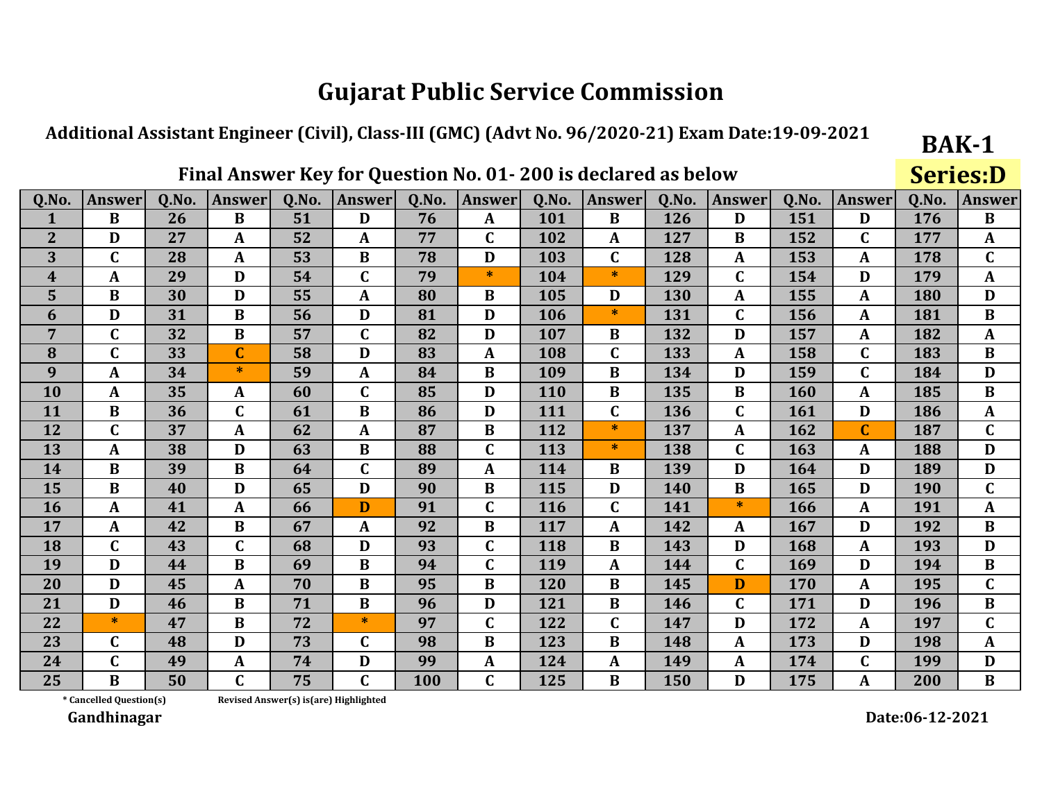#### Additional Assistant Engineer (Civil), Class-III (GMC) (Advt No. 96/2020-21) Exam Date:19-09-2021

### Final Answer Key for Question No. 01-200 is declared as below

**Series:D** 

**BAK-1** 

| Q.No.          | <b>Answer</b>           | Q.No. | <b>Answer</b> | Q.No. | <b>Answer</b> | Q.No. | <b>Answer</b>  | Q.No. | <b>Answer</b> | Q.No. | <b>Answer</b> | Q.No. | Answer       | Q.No. | <b>Answer</b> |
|----------------|-------------------------|-------|---------------|-------|---------------|-------|----------------|-------|---------------|-------|---------------|-------|--------------|-------|---------------|
|                | B                       | 26    | $\bf{B}$      | 51    | D             | 76    | A              | 101   | B             | 126   | D             | 151   | D            | 176   | $\bf{B}$      |
| $\overline{2}$ | D                       | 27    | A             | 52    | $\mathbf{A}$  | 77    | C              | 102   | A             | 127   | B             | 152   | $\mathbf C$  | 177   | $\mathbf{A}$  |
| 3              | $\mathbf C$             | 28    | A             | 53    | $\bf{B}$      | 78    | D              | 103   | $\mathbf C$   | 128   | A             | 153   | A            | 178   | $\mathbf C$   |
| 4              | $\mathbf{A}$            | 29    | D             | 54    | $\mathbf C$   | 79    | $\ast$         | 104   | $\ast$        | 129   | C             | 154   | D            | 179   | $\mathbf{A}$  |
| 5              | $\bf{B}$                | 30    | D             | 55    | $\mathbf A$   | 80    | $\bf{B}$       | 105   | D             | 130   | A             | 155   | A            | 180   | D             |
| 6              | D                       | 31    | B             | 56    | D             | 81    | D              | 106   | $\ast$        | 131   | C             | 156   | A            | 181   | $\bf{B}$      |
| 7              | $\mathbf C$             | 32    | B             | 57    | $\mathbf C$   | 82    | D              | 107   | B             | 132   | D             | 157   | A            | 182   | A             |
| 8              | $\mathbf C$             | 33    | $\mathbf C$   | 58    | D             | 83    | A              | 108   | $\mathbf C$   | 133   | $\mathbf{A}$  | 158   | $\mathbf{C}$ | 183   | $\bf{B}$      |
| 9              | $\mathbf{A}$            | 34    | $\ast$        | 59    | $\mathbf{A}$  | 84    | $\bf{B}$       | 109   | $\bf{B}$      | 134   | D             | 159   | $\mathbf C$  | 184   | D             |
| 10             | $\mathbf{A}$            | 35    | A             | 60    | $\mathbf C$   | 85    | D              | 110   | B             | 135   | B             | 160   | A            | 185   | $\bf{B}$      |
| 11             | $\bf{B}$                | 36    | $\mathbf C$   | 61    | $\bf{B}$      | 86    | D              | 111   | $\mathbf C$   | 136   | C             | 161   | D            | 186   | $\mathbf{A}$  |
| 12             | $\mathbf C$             | 37    | $\mathbf A$   | 62    | $\mathbf{A}$  | 87    | $\bf{B}$       | 112   | $\ast$        | 137   | A             | 162   | $\mathbf{C}$ | 187   | $\mathbf C$   |
| 13             | $\mathbf{A}$            | 38    | D             | 63    | $\bf{B}$      | 88    | $\mathbf C$    | 113   | $\ast$        | 138   | C             | 163   | A            | 188   | D             |
| 14             | $\bf{B}$                | 39    | B             | 64    | $\mathbf C$   | 89    | A              | 114   | B             | 139   | D             | 164   | D            | 189   | D             |
| 15             | $\bf{B}$                | 40    | D             | 65    | D             | 90    | $\bf{B}$       | 115   | D             | 140   | B             | 165   | D            | 190   | $\mathbf C$   |
| 16             | $\mathbf{A}$            | 41    | $\mathbf A$   | 66    | D             | 91    | $\mathbf C$    | 116   | $\mathbf C$   | 141   | $\ast$        | 166   | A            | 191   | $\mathbf{A}$  |
| 17             | $\mathbf{A}$            | 42    | $\bf{B}$      | 67    | $\mathbf{A}$  | 92    | $\overline{B}$ | 117   | A             | 142   | A             | 167   | D            | 192   | $\bf{B}$      |
| 18             | $\overline{\mathsf{C}}$ | 43    | $\mathbf C$   | 68    | D             | 93    | $\mathbf C$    | 118   | $\bf{B}$      | 143   | D             | 168   | A            | 193   | D             |
| 19             | D                       | 44    | $\bf{B}$      | 69    | $\bf{B}$      | 94    | $\mathbf{C}$   | 119   | A             | 144   | $\mathbf C$   | 169   | D            | 194   | $\bf{B}$      |
| 20             | D                       | 45    | A             | 70    | $\bf{B}$      | 95    | $\bf{B}$       | 120   | $\bf{B}$      | 145   | D             | 170   | A            | 195   | $\mathbf C$   |
| 21             | D                       | 46    | B             | 71    | $\bf{B}$      | 96    | D              | 121   | B             | 146   | C             | 171   | D            | 196   | $\bf{B}$      |
| 22             | $\ast$                  | 47    | $\bf{B}$      | 72    | $*$           | 97    | $\mathbf C$    | 122   | $\mathbf C$   | 147   | D             | 172   | A            | 197   | $\mathbf C$   |
| 23             | C                       | 48    | D             | 73    | $\mathbf C$   | 98    | $\bf{B}$       | 123   | B             | 148   | A             | 173   | D            | 198   | $\mathbf{A}$  |
| 24             | $\mathbf C$             | 49    | A             | 74    | D             | 99    | A              | 124   | $\mathbf{A}$  | 149   | A             | 174   | $\mathbf C$  | 199   | D             |
| 25             | $\bf{B}$                | 50    | $\mathbf C$   | 75    | $\mathbf C$   | 100   | $\mathbf C$    | 125   | $\bf{B}$      | 150   | D             | 175   | A            | 200   | $\bf{B}$      |

\* Cancelled Question(s)

Revised Answer(s) is(are) Highlighted

Gandhinagar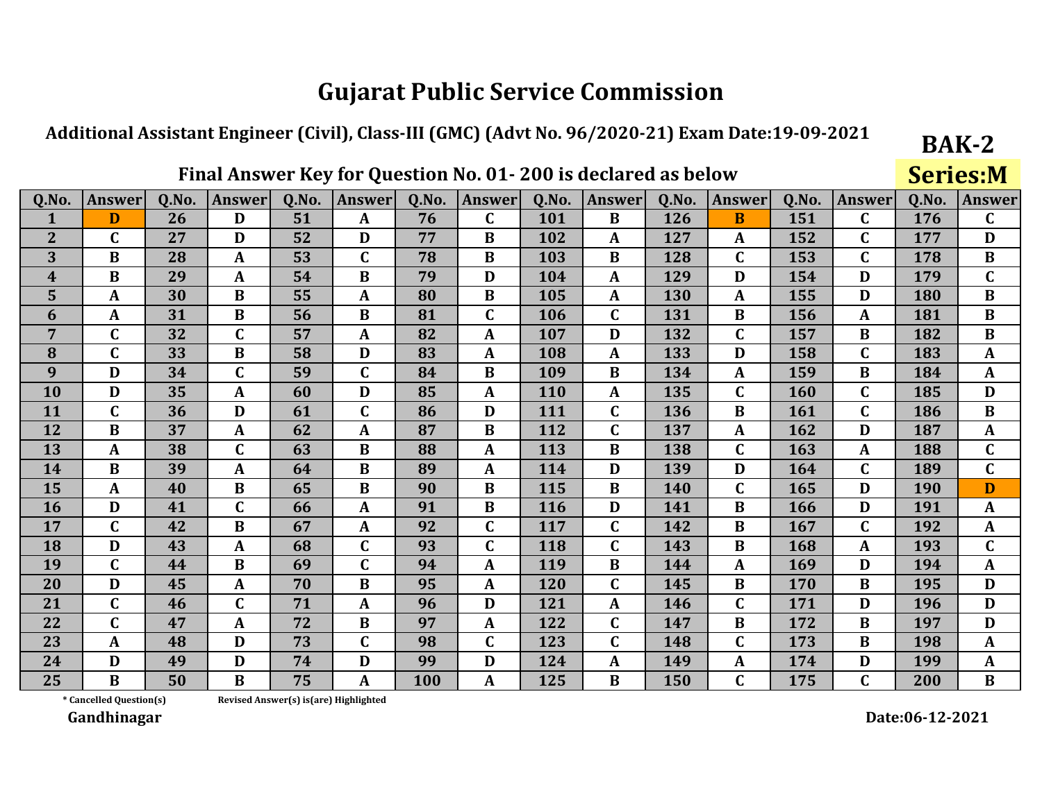#### Additional Assistant Engineer (Civil), Class-III (GMC) (Advt No. 96/2020-21) Exam Date:19-09-2021

### Final Answer Key for Question No. 01-200 is declared as below

**Series:M** 

**BAK-2** 

| Q.No.          | <b>Answer</b> | Q.No. | <b>Answer</b> | Q.No. | <b>Answer</b> | Q.No. | <b>Answer</b> | Q.No.      | <b>Answer</b> | Q.No. | <b>Answer</b> | Q.No. | <b>Answer</b> | Q.No. | <b>Answer</b> |
|----------------|---------------|-------|---------------|-------|---------------|-------|---------------|------------|---------------|-------|---------------|-------|---------------|-------|---------------|
| 1              | D             | 26    | D             | 51    | $\mathbf{A}$  | 76    | $\mathbf{C}$  | 101        | $\bf{B}$      | 126   | $\bf{B}$      | 151   | $\mathbf{C}$  | 176   | $\mathbf C$   |
| $\mathbf{2}$   | $\mathbf C$   | 27    | D             | 52    | D             | 77    | B             | 102        | A             | 127   | A             | 152   | $\mathbf C$   | 177   | D             |
| 3              | $\bf{B}$      | 28    | A             | 53    | C             | 78    | B             | 103        | B             | 128   | $\mathbf C$   | 153   | $\mathbf C$   | 178   | $\bf{B}$      |
| 4              | B             | 29    | A             | 54    | B             | 79    | D             | 104        | $\mathbf{A}$  | 129   | D             | 154   | D             | 179   | $\mathbf C$   |
| 5              | $\mathbf{A}$  | 30    | B             | 55    | A             | 80    | B             | 105        | A             | 130   | A             | 155   | D             | 180   | $\bf{B}$      |
| 6              | A             | 31    | $\bf{B}$      | 56    | $\bf{B}$      | 81    | $\mathbf C$   | 106        | $\mathbf C$   | 131   | $\bf{B}$      | 156   | A             | 181   | $\bf{B}$      |
| $\overline{7}$ | $\mathbf C$   | 32    | $\mathbf C$   | 57    | $\mathbf{A}$  | 82    | A             | 107        | D             | 132   | $\mathbf C$   | 157   | $\bf{B}$      | 182   | $\bf{B}$      |
| 8              | $\mathbf C$   | 33    | $\bf{B}$      | 58    | D             | 83    | A             | 108        | $\mathbf{A}$  | 133   | D             | 158   | $\mathbf C$   | 183   | $\mathbf{A}$  |
| 9              | D             | 34    | $\mathbf C$   | 59    | C             | 84    | B             | 109        | B             | 134   | A             | 159   | B             | 184   | $\mathbf{A}$  |
| 10             | D             | 35    | A             | 60    | D             | 85    | A             | 110        | A             | 135   | $\mathbf C$   | 160   | $\mathbf C$   | 185   | D             |
| 11             | $\mathbf C$   | 36    | D             | 61    | $\mathbf C$   | 86    | D             | 111        | $\mathbf C$   | 136   | B             | 161   | $\mathbf C$   | 186   | $\bf{B}$      |
| 12             | B             | 37    | A             | 62    | A             | 87    | B             | 112        | $\mathbf C$   | 137   | A             | 162   | D             | 187   | $\mathbf{A}$  |
| 13             | A             | 38    | $\mathbf C$   | 63    | $\bf{B}$      | 88    | A             | 113        | $\bf{B}$      | 138   | $\mathbf C$   | 163   | A             | 188   | $\mathbf C$   |
| 14             | $\bf{B}$      | 39    | A             | 64    | $\bf{B}$      | 89    | A             | 114        | D             | 139   | D             | 164   | $\mathbf{C}$  | 189   | $\mathbf C$   |
| 15             | A             | 40    | $\bf{B}$      | 65    | $\bf{B}$      | 90    | B             | 115        | B             | 140   | $\mathbf C$   | 165   | D             | 190   | D             |
| <b>16</b>      | D             | 41    | $\mathbf C$   | 66    | $\mathbf{A}$  | 91    | B             | <b>116</b> | D             | 141   | B             | 166   | D             | 191   | $\mathbf{A}$  |
| 17             | $\mathbf C$   | 42    | $\bf{B}$      | 67    | $\mathbf{A}$  | 92    | $\mathbf C$   | 117        | $\mathbf C$   | 142   | $\bf{B}$      | 167   | $\mathbf C$   | 192   | $\mathbf{A}$  |
| 18             | D             | 43    | A             | 68    | C             | 93    | $\mathbf C$   | 118        | $\mathbf C$   | 143   | B             | 168   | A             | 193   | $\mathbf C$   |
| 19             | $\mathbf C$   | 44    | $\bf{B}$      | 69    | $\mathsf{C}$  | 94    | A             | 119        | $\bf{B}$      | 144   | A             | 169   | D             | 194   | $\mathbf{A}$  |
| 20             | D             | 45    | A             | 70    | $\bf{B}$      | 95    | A             | 120        | $\mathbf C$   | 145   | B             | 170   | $\bf{B}$      | 195   | D             |
| 21             | $\mathbf C$   | 46    | $\mathbf C$   | 71    | $\mathbf{A}$  | 96    | D             | 121        | $\mathbf{A}$  | 146   | $\mathbf C$   | 171   | D             | 196   | D             |
| 22             | $\mathbf{C}$  | 47    | A             | 72    | $\bf{B}$      | 97    | A             | 122        | $\mathbf C$   | 147   | $\bf{B}$      | 172   | $\bf{B}$      | 197   | D             |
| 23             | A             | 48    | D             | 73    | C             | 98    | $\mathbf C$   | 123        | C             | 148   | C             | 173   | B             | 198   | $\mathbf{A}$  |
| 24             | D             | 49    | D             | 74    | D             | 99    | D             | 124        | A             | 149   | A             | 174   | D             | 199   | A             |
| 25             | $\bf{B}$      | 50    | $\bf{B}$      | 75    | A             | 100   | A             | 125        | $\bf{B}$      | 150   | C             | 175   | $\mathbf{C}$  | 200   | $\bf{B}$      |

\* Cancelled Question(s)

Revised Answer(s) is(are) Highlighted

Gandhinagar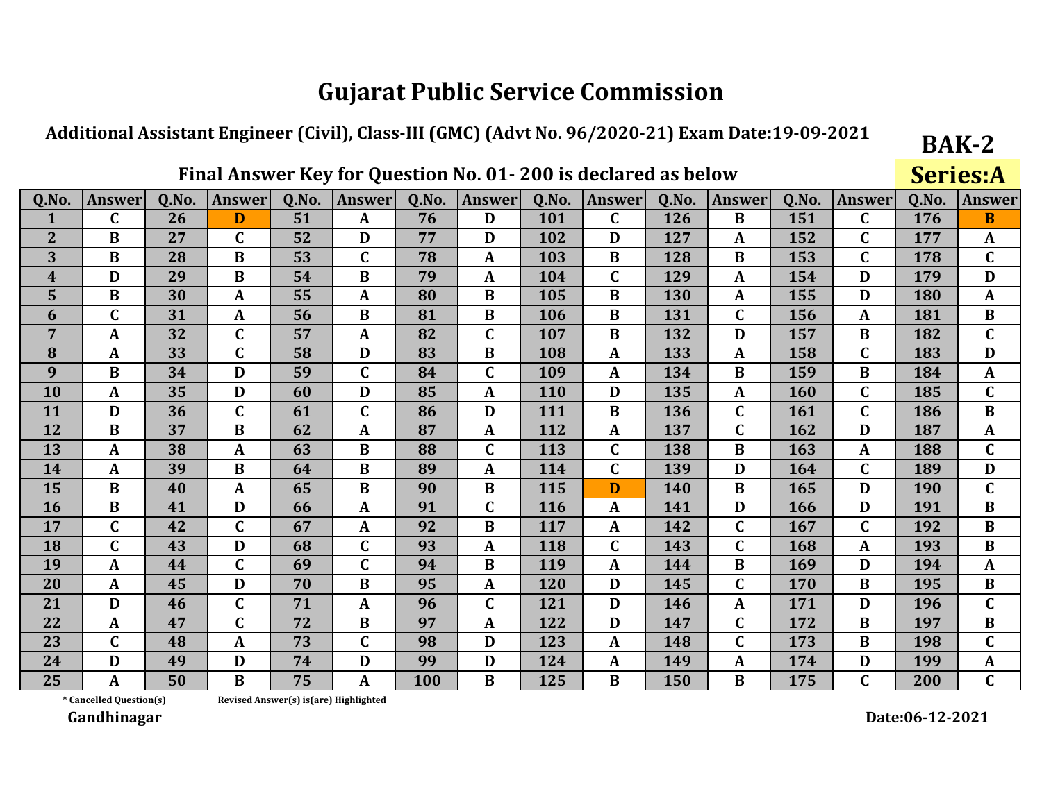#### Additional Assistant Engineer (Civil), Class-III (GMC) (Advt No. 96/2020-21) Exam Date:19-09-2021

### Final Answer Key for Question No. 01-200 is declared as below

**Series:A** 

**BAK-2** 

| Q.No.            | <b>Answer</b>           | Q.No. | <b>Answer</b> | Q.No. | Answer       | Q.No. | <b>Answer</b> | Q.No. | <b>Answer</b> | Q.No. | Answer       | Q.No. | <b>Answer</b>  | Q.No. | <b>Answer</b> |
|------------------|-------------------------|-------|---------------|-------|--------------|-------|---------------|-------|---------------|-------|--------------|-------|----------------|-------|---------------|
|                  | C                       | 26    | D             | 51    | $\mathbf{A}$ | 76    | D             | 101   | C             | 126   | $\bf{B}$     | 151   | $\mathbf{C}$   | 176   | B             |
| $\overline{2}$   | $\bf{B}$                | 27    | $\mathbf C$   | 52    | D            | 77    | D             | 102   | D             | 127   | A            | 152   | $\mathbf C$    | 177   | $\mathbf{A}$  |
| 3                | $\bf{B}$                | 28    | B             | 53    | $\mathbf C$  | 78    | A             | 103   | B             | 128   | B            | 153   | $\mathbf C$    | 178   | $\mathbf C$   |
| $\boldsymbol{4}$ | D                       | 29    | $\bf{B}$      | 54    | $\bf{B}$     | 79    | $\mathbf A$   | 104   | $\mathbf C$   | 129   | A            | 154   | D              | 179   | D             |
| 5                | $\bf{B}$                | 30    | $\mathbf{A}$  | 55    | A            | 80    | $\bf{B}$      | 105   | $\bf{B}$      | 130   | A            | 155   | D              | 180   | $\mathbf{A}$  |
| 6                | $\mathbf C$             | 31    | A             | 56    | $\bf{B}$     | 81    | $\bf{B}$      | 106   | B             | 131   | $\mathbf C$  | 156   | A              | 181   | $\bf{B}$      |
| 7                | A                       | 32    | $\mathbf C$   | 57    | A            | 82    | $\mathbf C$   | 107   | B             | 132   | D            | 157   | B              | 182   | $\mathbf C$   |
| 8                | $\mathbf{A}$            | 33    | $\mathbf C$   | 58    | D            | 83    | $\bf{B}$      | 108   | A             | 133   | $\mathbf{A}$ | 158   | $\mathbf C$    | 183   | D             |
| 9                | $\bf{B}$                | 34    | D             | 59    | $\mathbf C$  | 84    | C             | 109   | A             | 134   | B            | 159   | B              | 184   | $\mathbf{A}$  |
| 10               | $\mathbf{A}$            | 35    | D             | 60    | D            | 85    | $\mathbf{A}$  | 110   | D             | 135   | $\mathbf{A}$ | 160   | $\mathbf C$    | 185   | $\mathbf C$   |
| 11               | D                       | 36    | $\mathbf C$   | 61    | $\mathbf C$  | 86    | D             | 111   | B             | 136   | $\mathbf C$  | 161   | $\mathbf C$    | 186   | $\bf{B}$      |
| 12               | $\bf{B}$                | 37    | $\bf{B}$      | 62    | $\mathbf{A}$ | 87    | $\mathbf{A}$  | 112   | $\mathbf{A}$  | 137   | $\mathbf C$  | 162   | D              | 187   | $\mathbf{A}$  |
| 13               | $\mathbf{A}$            | 38    | A             | 63    | $\bf{B}$     | 88    | $\mathbf{C}$  | 113   | $\mathbf C$   | 138   | $\bf{B}$     | 163   | $\mathbf A$    | 188   | $\mathbf{C}$  |
| 14               | $\mathbf{A}$            | 39    | B             | 64    | B            | 89    | A             | 114   | $\mathbf C$   | 139   | D            | 164   | $\mathbf{C}$   | 189   | D             |
| 15               | $\bf{B}$                | 40    | A             | 65    | $\bf{B}$     | 90    | $\bf{B}$      | 115   | D             | 140   | B            | 165   | D              | 190   | $\mathbf C$   |
| 16               | $\bf{B}$                | 41    | D             | 66    | $\mathbf{A}$ | 91    | C             | 116   | A             | 141   | D            | 166   | D              | 191   | $\bf{B}$      |
| 17               | $\overline{\mathsf{C}}$ | 42    | $\mathbf C$   | 67    | A            | 92    | $\bf{B}$      | 117   | A             | 142   | $\mathbf C$  | 167   | $\mathbf C$    | 192   | $\bf{B}$      |
| 18               | $\mathbf C$             | 43    | D             | 68    | $\mathbf C$  | 93    | $\mathbf{A}$  | 118   | $\mathbf C$   | 143   | $\mathbf C$  | 168   | A              | 193   | $\bf{B}$      |
| 19               | $\mathbf{A}$            | 44    | $\mathbf C$   | 69    | $\mathbf C$  | 94    | $\bf{B}$      | 119   | $\mathbf{A}$  | 144   | $\bf{B}$     | 169   | D              | 194   | $\mathbf{A}$  |
| 20               | $\mathbf{A}$            | 45    | D             | 70    | $\bf{B}$     | 95    | $\mathbf{A}$  | 120   | D             | 145   | $\mathbf C$  | 170   | $\bf{B}$       | 195   | $\bf{B}$      |
| 21               | D                       | 46    | $\mathbf C$   | 71    | A            | 96    | $\mathbf C$   | 121   | D             | 146   | A            | 171   | D              | 196   | $\mathbf C$   |
| 22               | A                       | 47    | $\mathbf C$   | 72    | $\bf{B}$     | 97    | $\mathbf{A}$  | 122   | D             | 147   | $\mathbf C$  | 172   | $\bf{B}$       | 197   | $\bf{B}$      |
| 23               | C                       | 48    | $\mathbf{A}$  | 73    | $\mathbf{C}$ | 98    | D             | 123   | A             | 148   | $\mathbf C$  | 173   | B              | 198   | $\mathbf{C}$  |
| 24               | D                       | 49    | D             | 74    | D            | 99    | D             | 124   | A             | 149   | A            | 174   | D              | 199   | $\mathbf{A}$  |
| 25               | A                       | 50    | $\bf{B}$      | 75    | A            | 100   | B             | 125   | $\bf{B}$      | 150   | B            | 175   | $\overline{C}$ | 200   | $\mathbf C$   |

\* Cancelled Question(s)

Revised Answer(s) is(are) Highlighted

Gandhinagar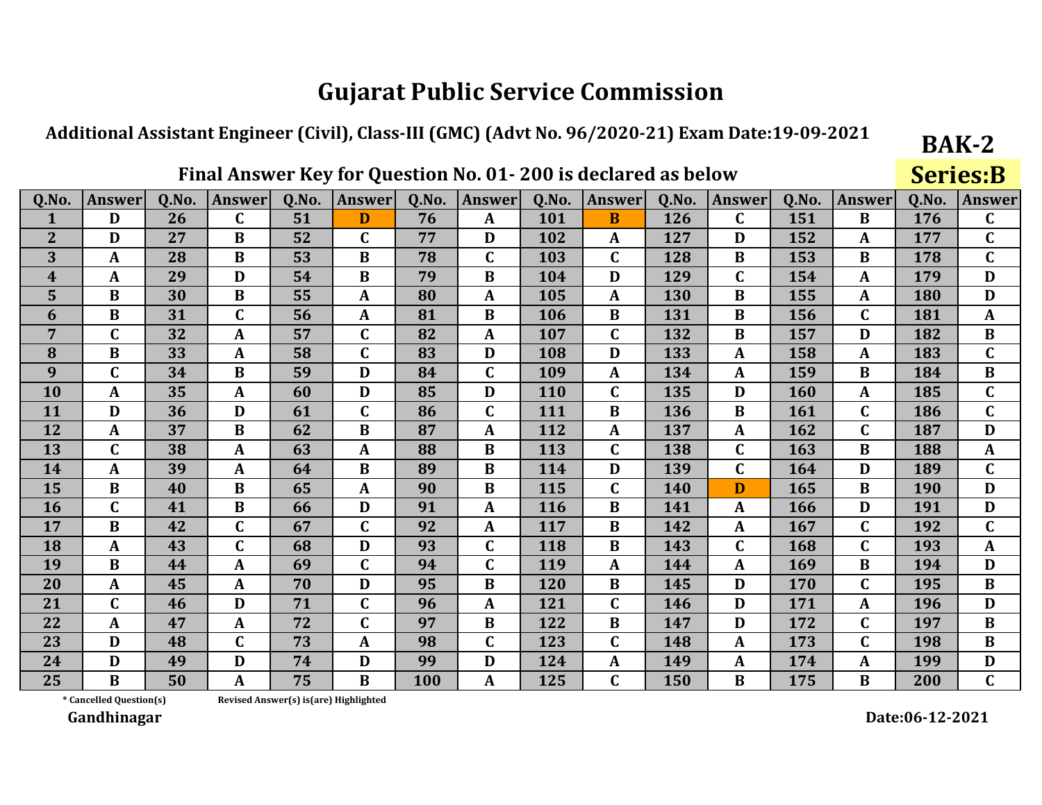#### Additional Assistant Engineer (Civil), Class-III (GMC) (Advt No. 96/2020-21) Exam Date:19-09-2021

### Final Answer Key for Question No. 01-200 is declared as below

**Series:B** 

**BAK-2** 

| Q.No.          | <b>Answer</b> | Q.No. | <b>Answer</b> | Q.No. | <b>Answer</b> | Q.No. | <b>Answer</b> | Q.No. | <b>Answer</b> | Q.No. | <b>Answer</b> | Q.No. | Answer       | Q.No. | <b>Answer</b> |
|----------------|---------------|-------|---------------|-------|---------------|-------|---------------|-------|---------------|-------|---------------|-------|--------------|-------|---------------|
| 1              | D             | 26    | $\mathbf C$   | 51    | D             | 76    | A             | 101   | B             | 126   | C             | 151   | B            | 176   | $\mathbf C$   |
| $\overline{2}$ | D             | 27    | $\bf{B}$      | 52    | $\mathbf C$   | 77    | D             | 102   | A             | 127   | D             | 152   | A            | 177   | $\mathbf C$   |
| 3              | $\mathbf{A}$  | 28    | $\bf{B}$      | 53    | $\bf{B}$      | 78    | $\mathbf C$   | 103   | $\mathbf C$   | 128   | B             | 153   | $\bf{B}$     | 178   | $\mathbf C$   |
| 4              | A             | 29    | D             | 54    | $\bf{B}$      | 79    | B             | 104   | D             | 129   | C             | 154   | A            | 179   | D             |
| 5              | $\bf{B}$      | 30    | $\bf{B}$      | 55    | $\mathbf{A}$  | 80    | $\mathbf{A}$  | 105   | $\mathbf{A}$  | 130   | $\bf{B}$      | 155   | $\mathbf{A}$ | 180   | D             |
| 6              | $\bf{B}$      | 31    | $\mathbf C$   | 56    | A             | 81    | B             | 106   | B             | 131   | B             | 156   | $\mathbf{C}$ | 181   | $\mathbf{A}$  |
| 7              | $\mathbf C$   | 32    | A             | 57    | $\mathbf C$   | 82    | A             | 107   | C             | 132   | B             | 157   | D            | 182   | B             |
| 8              | $\bf{B}$      | 33    | $\mathbf{A}$  | 58    | $\mathbf C$   | 83    | D             | 108   | D             | 133   | $\mathbf{A}$  | 158   | A            | 183   | $\mathbf C$   |
| 9              | $\mathbf C$   | 34    | $\bf{B}$      | 59    | D             | 84    | $\mathbf C$   | 109   | $\mathbf{A}$  | 134   | A             | 159   | $\bf{B}$     | 184   | $\bf{B}$      |
| 10             | $\mathbf{A}$  | 35    | $\mathbf{A}$  | 60    | D             | 85    | D             | 110   | $\mathbf C$   | 135   | D             | 160   | A            | 185   | $\mathbf C$   |
| 11             | D             | 36    | D             | 61    | $\mathbf C$   | 86    | $\mathbf C$   | 111   | $\bf{B}$      | 136   | $\bf{B}$      | 161   | $\mathbf C$  | 186   | $\mathbf C$   |
| 12             | $\mathbf{A}$  | 37    | $\bf{B}$      | 62    | $\bf{B}$      | 87    | $\mathbf{A}$  | 112   | $\mathbf{A}$  | 137   | A             | 162   | $\mathbf{C}$ | 187   | D             |
| 13             | $\mathbf C$   | 38    | A             | 63    | A             | 88    | $\bf{B}$      | 113   | $\mathbf C$   | 138   | $\mathbf C$   | 163   | $\bf{B}$     | 188   | $\mathbf{A}$  |
| 14             | $\mathbf{A}$  | 39    | A             | 64    | B             | 89    | B             | 114   | D             | 139   | $\mathbf C$   | 164   | D            | 189   | $\mathbf C$   |
| 15             | $\bf{B}$      | 40    | B             | 65    | A             | 90    | B             | 115   | $\mathbf C$   | 140   | D             | 165   | $\bf{B}$     | 190   | D             |
| <b>16</b>      | $\mathbf C$   | 41    | $\bf{B}$      | 66    | D             | 91    | $\mathbf A$   | 116   | B             | 141   | A             | 166   | D            | 191   | D             |
| 17             | $\bf{B}$      | 42    | $\mathbf C$   | 67    | $\mathbf C$   | 92    | $\mathbf{A}$  | 117   | $\bf{B}$      | 142   | A             | 167   | $\mathbf C$  | 192   | $\mathbf C$   |
| 18             | $\mathbf{A}$  | 43    | $\mathbf C$   | 68    | D             | 93    | $\mathbf C$   | 118   | $\bf{B}$      | 143   | C             | 168   | $\mathbf C$  | 193   | $\mathbf{A}$  |
| 19             | $\bf{B}$      | 44    | $\mathbf A$   | 69    | $\mathbf C$   | 94    | $\mathbf C$   | 119   | $\mathbf{A}$  | 144   | A             | 169   | $\bf{B}$     | 194   | D             |
| 20             | $\mathbf{A}$  | 45    | A             | 70    | D             | 95    | $\bf{B}$      | 120   | B             | 145   | D             | 170   | $\mathbf C$  | 195   | $\bf{B}$      |
| 21             | $\mathbf C$   | 46    | D             | 71    | $\mathbf C$   | 96    | A             | 121   | C             | 146   | D             | 171   | A            | 196   | D             |
| 22             | $\mathbf{A}$  | 47    | $\mathbf{A}$  | 72    | $\mathbf C$   | 97    | $\bf{B}$      | 122   | $\bf{B}$      | 147   | D             | 172   | $\mathbf C$  | 197   | $\bf{B}$      |
| 23             | D             | 48    | $\mathbf C$   | 73    | $\mathbf{A}$  | 98    | $\mathbf C$   | 123   | $\mathbf C$   | 148   | A             | 173   | $\mathbf C$  | 198   | $\bf{B}$      |
| 24             | D             | 49    | D             | 74    | D             | 99    | D             | 124   | $\mathbf{A}$  | 149   | A             | 174   | A            | 199   | D             |
| 25             | $\bf{B}$      | 50    | $\mathbf{A}$  | 75    | $\bf{B}$      | 100   | A             | 125   | $\mathbf C$   | 150   | B             | 175   | $\bf{B}$     | 200   | $\mathbf C$   |

\* Cancelled Question(s) Revised Answer(s) is(are) Highlighted

Gandhinagar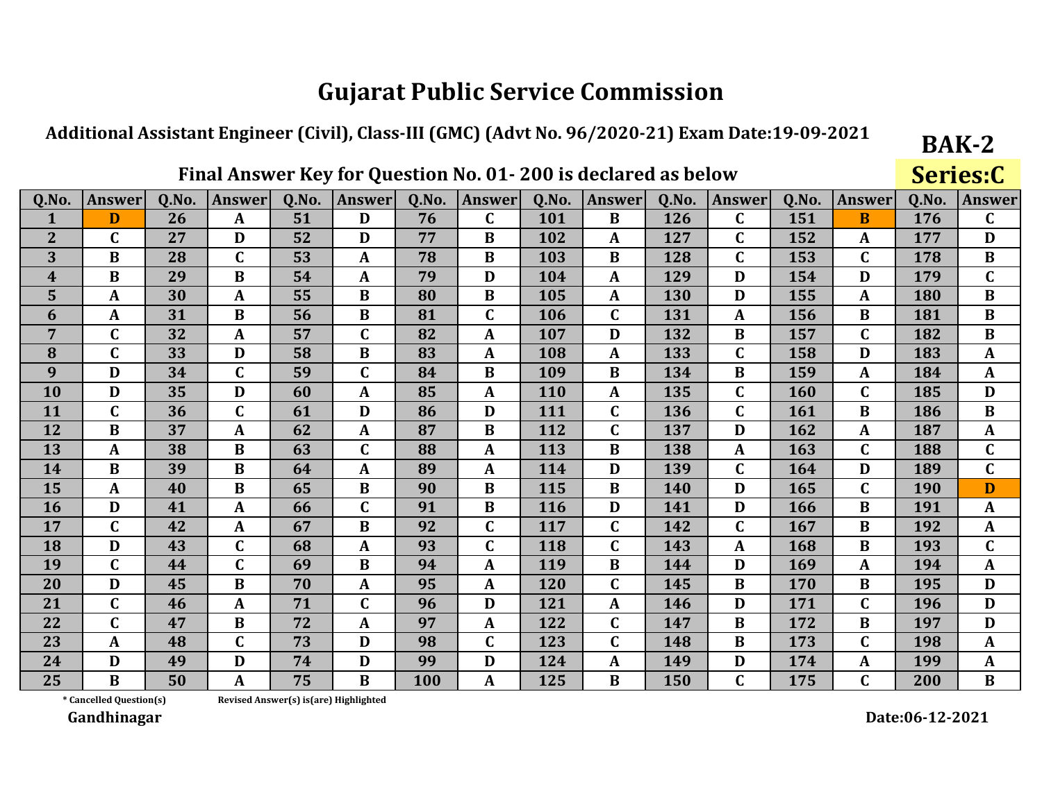#### Additional Assistant Engineer (Civil), Class-III (GMC) (Advt No. 96/2020-21) Exam Date:19-09-2021

### Final Answer Key for Question No. 01-200 is declared as below

**Series:C** 

**BAK-2** 

| Q.No.          | <b>Answer</b> | 0.No. | <b>Answer</b> | 0.No. | <b>Answer</b> | 0.No. | <b>Answer</b> | 0.No. | <b>Answer</b> | 0.No. | <b>Answer</b> | 0.No. | <b>Answer</b>    | Q.No.      | <b>Answer</b> |
|----------------|---------------|-------|---------------|-------|---------------|-------|---------------|-------|---------------|-------|---------------|-------|------------------|------------|---------------|
| 1              | D             | 26    | $\mathbf{A}$  | 51    | D             | 76    | $\mathbf C$   | 101   | B             | 126   | C             | 151   | <sub>B</sub>     | 176        | $\mathbf C$   |
| $\overline{2}$ | C             | 27    | D             | 52    | D             | 77    | $\bf{B}$      | 102   | A             | 127   | C             | 152   | A                | 177        | D             |
| 3              | $\bf{B}$      | 28    | $\mathbf C$   | 53    | $\mathbf{A}$  | 78    | $\bf{B}$      | 103   | $\bf{B}$      | 128   | C             | 153   | $\mathbf C$      | 178        | $\bf{B}$      |
| 4              | $\bf{B}$      | 29    | $\bf{B}$      | 54    | A             | 79    | D             | 104   | $\mathbf{A}$  | 129   | D             | 154   | D                | 179        | $\mathbf C$   |
| 5              | $\mathbf{A}$  | 30    | $\mathbf{A}$  | 55    | $\bf{B}$      | 80    | B             | 105   | $\mathbf{A}$  | 130   | D             | 155   | $\mathbf{A}$     | 180        | $\bf{B}$      |
| 6              | A             | 31    | $\bf{B}$      | 56    | $\bf{B}$      | 81    | $\mathbf C$   | 106   | $\mathbf C$   | 131   | $\mathbf{A}$  | 156   | $\bf{B}$         | 181        | $\bf{B}$      |
| $\overline{7}$ | $\mathbf C$   | 32    | A             | 57    | $\mathbf{C}$  | 82    | A             | 107   | D             | 132   | B             | 157   | $\mathbf C$      | 182        | $\bf{B}$      |
| 8              | $\mathbf C$   | 33    | D             | 58    | $\bf{B}$      | 83    | A             | 108   | A             | 133   | C             | 158   | D                | 183        | $\mathbf{A}$  |
| 9              | D             | 34    | $\mathbf C$   | 59    | C             | 84    | $\bf{B}$      | 109   | B             | 134   | B             | 159   | A                | 184        | $\mathbf{A}$  |
| 10             | D             | 35    | D             | 60    | A             | 85    | $\mathbf{A}$  | 110   | $\mathbf{A}$  | 135   | C             | 160   | $\mathbf C$      | 185        | D             |
| 11             | $\mathbf C$   | 36    | $\mathbf C$   | 61    | D             | 86    | D             | 111   | $\mathbf C$   | 136   | C             | 161   | $\bf{B}$         | 186        | $\bf{B}$      |
| 12             | B             | 37    | $\mathbf A$   | 62    | A             | 87    | $\bf{B}$      | 112   | $\mathbf C$   | 137   | D             | 162   | $\boldsymbol{A}$ | 187        | $\mathbf{A}$  |
| 13             | $\mathbf{A}$  | 38    | $\bf{B}$      | 63    | $\mathbf C$   | 88    | A             | 113   | $\bf{B}$      | 138   | $\mathbf{A}$  | 163   | $\mathbf C$      | 188        | $\mathbf C$   |
| 14             | $\bf{B}$      | 39    | B             | 64    | $\mathbf{A}$  | 89    | A             | 114   | D             | 139   | C             | 164   | D                | 189        | $\mathbf C$   |
| 15             | A             | 40    | B             | 65    | $\bf{B}$      | 90    | B             | 115   | B             | 140   | D             | 165   | $\mathbf C$      | <b>190</b> | D             |
| <b>16</b>      | D             | 41    | A             | 66    | $\mathbf C$   | 91    | $\bf{B}$      | 116   | D             | 141   | D             | 166   | $\bf{B}$         | 191        | $\mathbf{A}$  |
| 17             | $\mathbf C$   | 42    | A             | 67    | $\bf{B}$      | 92    | $\mathbf C$   | 117   | $\mathbf C$   | 142   | C             | 167   | $\bf{B}$         | 192        | $\mathbf{A}$  |
| 18             | D             | 43    | $\mathbf C$   | 68    | A             | 93    | $\mathbf C$   | 118   | $\mathbf C$   | 143   | A             | 168   | $\bf{B}$         | 193        | $\mathbf C$   |
| 19             | $\mathbf C$   | 44    | $\mathbf C$   | 69    | $\bf{B}$      | 94    | A             | 119   | $\bf{B}$      | 144   | D             | 169   | $\mathbf{A}$     | 194        | $\mathbf{A}$  |
| 20             | D             | 45    | $\bf{B}$      | 70    | $\mathbf{A}$  | 95    | A             | 120   | $\mathbf C$   | 145   | $\bf{B}$      | 170   | $\bf{B}$         | 195        | D             |
| 21             | $\mathbf C$   | 46    | A             | 71    | $\mathbf{C}$  | 96    | D             | 121   | $\mathbf{A}$  | 146   | D             | 171   | $\mathbf{C}$     | 196        | D             |
| 22             | $\mathbf C$   | 47    | B             | 72    | $\mathbf{A}$  | 97    | A             | 122   | $\mathbf C$   | 147   | B             | 172   | B                | 197        | D             |
| 23             | $\mathbf{A}$  | 48    | $\mathbf C$   | 73    | D             | 98    | $\mathbf C$   | 123   | $\mathbf C$   | 148   | B             | 173   | $\mathbf C$      | 198        | $\mathbf{A}$  |
| 24             | D             | 49    | D             | 74    | D             | 99    | D             | 124   | $\mathbf{A}$  | 149   | D             | 174   | $\mathbf{A}$     | 199        | $\mathbf{A}$  |
| 25             | $\bf{B}$      | 50    | A             | 75    | B             | 100   | A             | 125   | B             | 150   | C             | 175   | $\mathbf C$      | 200        | $\bf{B}$      |

\* Cancelled Question(s)

Revised Answer(s) is(are) Highlighted

Gandhinagar